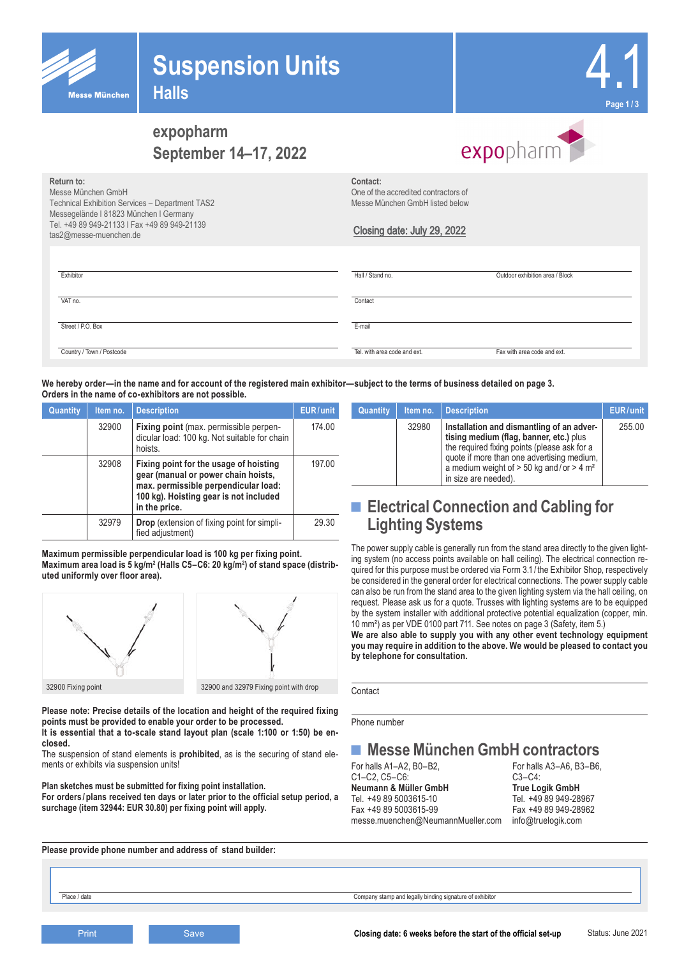

## **Suspension Units**



## **expopharm September 14–17, 2022**

# expopharm

**Return to:**

Messe München GmbH Technical Exhibition Services – Department TAS2 Messegelände l 81823 München l Germany Tel. +49 89 949-21133 l Fax +49 89 949-21139 tas2@messe-muenchen.de

**Contact:** One of the accredited contractors of Messe München GmbH listed below

### Closing date: July 29, 2022

| Exhibitor                 | Hall / Stand no.             | Outdoor exhibition area / Block |
|---------------------------|------------------------------|---------------------------------|
| VAT no.                   | Contact                      |                                 |
| Street / P.O. Box         | E-mail                       |                                 |
| Country / Town / Postcode | Tel, with area code and ext. | Fax with area code and ext.     |

**We hereby order—in the name and for account of the registered main exhibitor—subject to the terms of business detailed on page 3. Orders in the name of co-exhibitors are not possible.**

| Quantity | Item no. | <b>Description</b>                                                                                                                                                               | EUR/unit |
|----------|----------|----------------------------------------------------------------------------------------------------------------------------------------------------------------------------------|----------|
|          | 32900    | Fixing point (max. permissible perpen-<br>dicular load: 100 kg. Not suitable for chain<br>hoists.                                                                                | 174.00   |
|          | 32908    | Fixing point for the usage of hoisting<br>gear (manual or power chain hoists,<br>max. permissible perpendicular load:<br>100 kg). Hoisting gear is not included<br>in the price. | 197.00   |
|          | 32979    | <b>Drop</b> (extension of fixing point for simpli-<br>fied adjustment)                                                                                                           | 29.30    |

**Maximum permissible perpendicular load is 100 kg per fixing point.**  Maximum area load is 5 kg/m² (Halls C5–C6: 20 kg/m²) of stand space (distrib**uted uniformly over floor area).**



**Please note: Precise details of the location and height of the required fixing points must be provided to enable your order to be processed.** 

**It is essential that a to-scale stand layout plan (scale 1:100 or 1:50) be enclosed.** 

The suspension of stand elements is **prohibited**, as is the securing of stand elements or exhibits via suspension units!

**Plan sketches must be submitted for fixing point installation.**

**For orders /plans received ten days or later prior to the official setup period, a surchage (item 32944: EUR 30.80) per fixing point will apply.** 

**Please provide phone number and address of stand builder:**

| Quantity | Item no. | <b>Description</b>                                                                                                                                                                                                                                                     | EUR/unit |
|----------|----------|------------------------------------------------------------------------------------------------------------------------------------------------------------------------------------------------------------------------------------------------------------------------|----------|
|          | 32980    | Installation and dismantling of an adver-<br>tising medium (flag, banner, etc.) plus<br>the required fixing points (please ask for a<br>quote if more than one advertising medium,<br>a medium weight of $> 50$ kg and/or $> 4$ m <sup>2</sup><br>in size are needed). | 255.00   |

## ■ **Electrical Connection and Cabling for Lighting Systems**

The power supply cable is generally run from the stand area directly to the given lighting system (no access points available on hall ceiling). The electrical connection required for this purpose must be ordered via Form 3.1 / the Exhibitor Shop, respectively be considered in the general order for electrical connections. The power supply cable can also be run from the stand area to the given lighting system via the hall ceiling, on request. Please ask us for a quote. Trusses with lighting systems are to be equipped by the system installer with additional protective potential equalization (copper, min. 10mm²) as per VDE 0100 part 711. See notes on page 3 (Safety, item 5.)

**We are also able to supply you with any other event technology equipment you may require in addition to the above. We would be pleased to contact you by telephone for consultation.**

Contact

Phone number

## ■ **Messe München GmbH contractors**<br>For halls A1-A2. B0-B2.<br>For halls A3-A6. B3-B6

C1–C2, C5–C6: C3–C4: **Neumann & Müller GmbH**<br>Tel. +49 89 5003615-10 Fax +49 89 5003615-99 Fax +49 89 949-28962 messe.muenchen@NeumannMueller.com info@truelogik.com

For halls A3–A6, B3–B6,  $C3-C4$ <sup>-</sup> Tel. +49 89 949-28967

Place / date Company stamp and legally binding signature of exhibitor

Status: June 2021 **Print Closing date: 6 weeks before the start of the official set-up** Closing date: 6 weeks before the start of the official set-up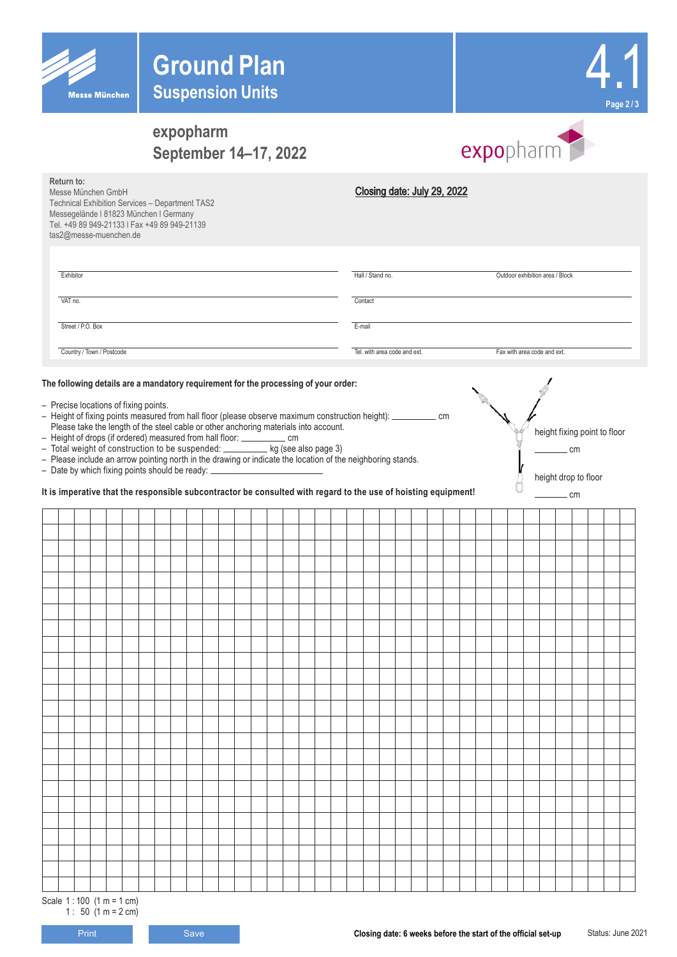